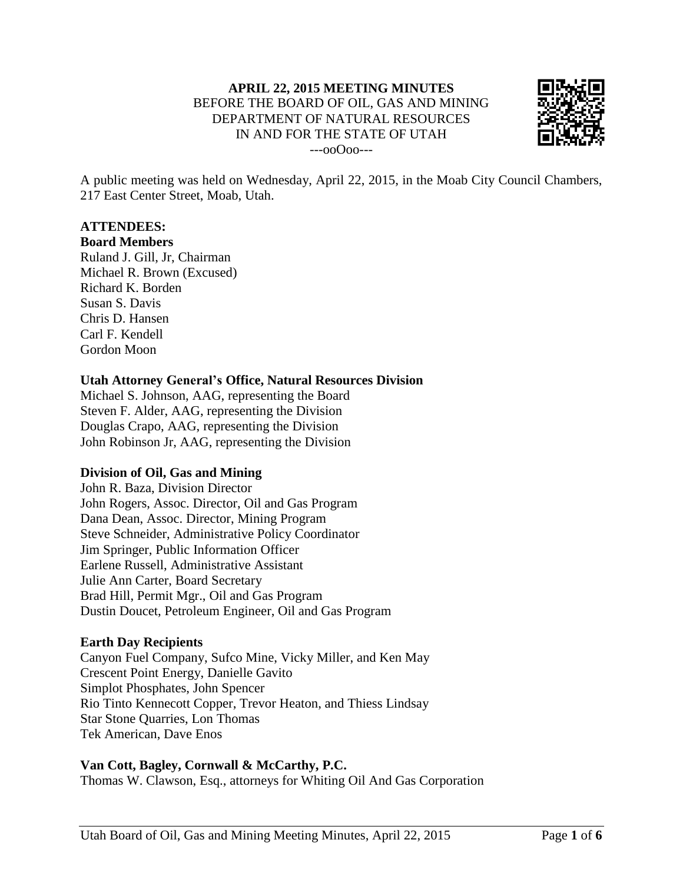

A public meeting was held on Wednesday, April 22, 2015, in the Moab City Council Chambers, 217 East Center Street, Moab, Utah.

# **ATTENDEES:**

## **Board Members**

Ruland J. Gill, Jr, Chairman Michael R. Brown (Excused) Richard K. Borden Susan S. Davis Chris D. Hansen Carl F. Kendell Gordon Moon

## **Utah Attorney General's Office, Natural Resources Division**

Michael S. Johnson, AAG, representing the Board Steven F. Alder, AAG, representing the Division Douglas Crapo, AAG, representing the Division John Robinson Jr, AAG, representing the Division

## **Division of Oil, Gas and Mining**

John R. Baza, Division Director John Rogers, Assoc. Director, Oil and Gas Program Dana Dean, Assoc. Director, Mining Program Steve Schneider, Administrative Policy Coordinator Jim Springer, Public Information Officer Earlene Russell, Administrative Assistant Julie Ann Carter, Board Secretary Brad Hill, Permit Mgr., Oil and Gas Program Dustin Doucet, Petroleum Engineer, Oil and Gas Program

## **Earth Day Recipients**

Canyon Fuel Company, Sufco Mine, Vicky Miller, and Ken May Crescent Point Energy, Danielle Gavito Simplot Phosphates, John Spencer Rio Tinto Kennecott Copper, Trevor Heaton, and Thiess Lindsay Star Stone Quarries, Lon Thomas Tek American, Dave Enos

# **Van Cott, Bagley, Cornwall & McCarthy, P.C.**

Thomas W. Clawson, Esq., attorneys for Whiting Oil And Gas Corporation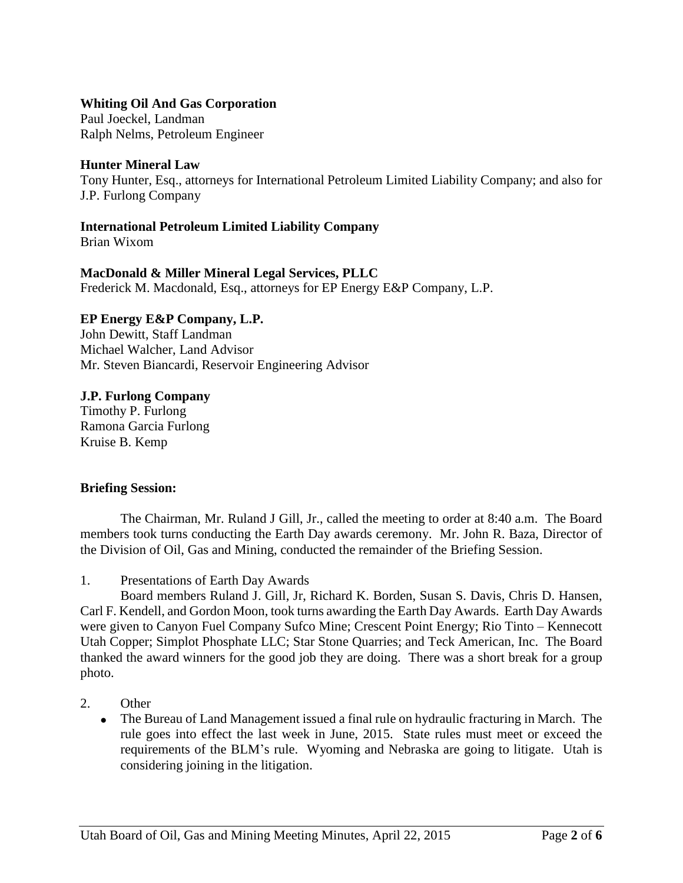# **Whiting Oil And Gas Corporation**

Paul Joeckel, Landman Ralph Nelms, Petroleum Engineer

## **Hunter Mineral Law**

Tony Hunter, Esq., attorneys for International Petroleum Limited Liability Company; and also for J.P. Furlong Company

# **International Petroleum Limited Liability Company**

Brian Wixom

# **MacDonald & Miller Mineral Legal Services, PLLC**

Frederick M. Macdonald, Esq., attorneys for EP Energy E&P Company, L.P.

# **EP Energy E&P Company, L.P.**

John Dewitt, Staff Landman Michael Walcher, Land Advisor Mr. Steven Biancardi, Reservoir Engineering Advisor

## **J.P. Furlong Company**

Timothy P. Furlong Ramona Garcia Furlong Kruise B. Kemp

## **Briefing Session:**

The Chairman, Mr. Ruland J Gill, Jr., called the meeting to order at 8:40 a.m. The Board members took turns conducting the Earth Day awards ceremony. Mr. John R. Baza, Director of the Division of Oil, Gas and Mining, conducted the remainder of the Briefing Session.

1. Presentations of Earth Day Awards

Board members Ruland J. Gill, Jr, Richard K. Borden, Susan S. Davis, Chris D. Hansen, Carl F. Kendell, and Gordon Moon, took turns awarding the Earth Day Awards. Earth Day Awards were given to Canyon Fuel Company Sufco Mine; Crescent Point Energy; Rio Tinto – Kennecott Utah Copper; Simplot Phosphate LLC; Star Stone Quarries; and Teck American, Inc. The Board thanked the award winners for the good job they are doing. There was a short break for a group photo.

- 2. Other
	- The Bureau of Land Management issued a final rule on hydraulic fracturing in March. The rule goes into effect the last week in June, 2015. State rules must meet or exceed the requirements of the BLM's rule. Wyoming and Nebraska are going to litigate. Utah is considering joining in the litigation.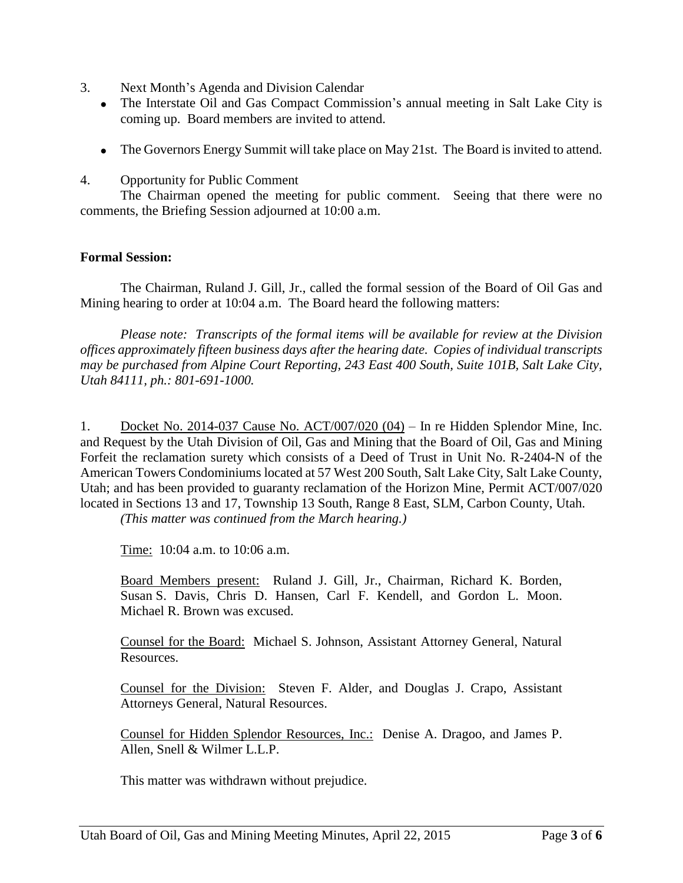- 3. Next Month's Agenda and Division Calendar
	- The Interstate Oil and Gas Compact Commission's annual meeting in Salt Lake City is coming up. Board members are invited to attend.
	- The Governors Energy Summit will take place on May 21st. The Board is invited to attend.
- 4. Opportunity for Public Comment

The Chairman opened the meeting for public comment. Seeing that there were no comments, the Briefing Session adjourned at 10:00 a.m.

# **Formal Session:**

The Chairman, Ruland J. Gill, Jr., called the formal session of the Board of Oil Gas and Mining hearing to order at 10:04 a.m. The Board heard the following matters:

*Please note: Transcripts of the formal items will be available for review at the Division offices approximately fifteen business days after the hearing date. Copies of individual transcripts may be purchased from Alpine Court Reporting, 243 East 400 South, Suite 101B, Salt Lake City, Utah 84111, ph.: 801-691-1000.*

1. Docket No. 2014-037 Cause No. ACT/007/020 (04) – In re Hidden Splendor Mine, Inc. and Request by the Utah Division of Oil, Gas and Mining that the Board of Oil, Gas and Mining Forfeit the reclamation surety which consists of a Deed of Trust in Unit No. R-2404-N of the American Towers Condominiums located at 57 West 200 South, Salt Lake City, Salt Lake County, Utah; and has been provided to guaranty reclamation of the Horizon Mine, Permit ACT/007/020 located in Sections 13 and 17, Township 13 South, Range 8 East, SLM, Carbon County, Utah.

*(This matter was continued from the March hearing.)*

Time: 10:04 a.m. to 10:06 a.m.

Board Members present: Ruland J. Gill, Jr., Chairman, Richard K. Borden, Susan S. Davis, Chris D. Hansen, Carl F. Kendell, and Gordon L. Moon. Michael R. Brown was excused.

Counsel for the Board: Michael S. Johnson, Assistant Attorney General, Natural Resources.

Counsel for the Division: Steven F. Alder, and Douglas J. Crapo, Assistant Attorneys General, Natural Resources.

Counsel for Hidden Splendor Resources, Inc.: Denise A. Dragoo, and James P. Allen, Snell & Wilmer L.L.P.

This matter was withdrawn without prejudice.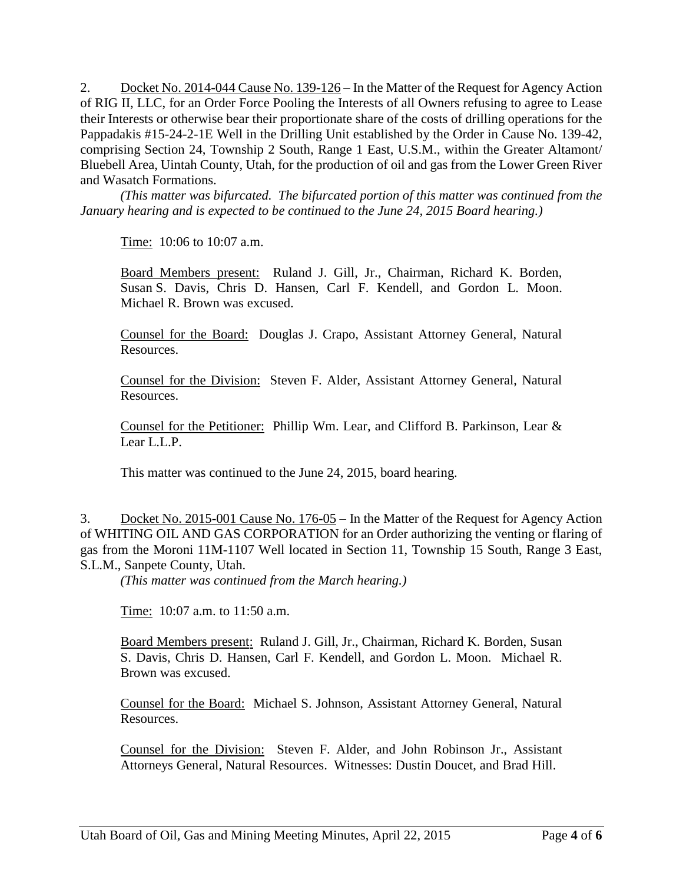2. Docket No. 2014-044 Cause No. 139-126 – In the Matter of the Request for Agency Action of RIG II, LLC, for an Order Force Pooling the Interests of all Owners refusing to agree to Lease their Interests or otherwise bear their proportionate share of the costs of drilling operations for the Pappadakis #15-24-2-1E Well in the Drilling Unit established by the Order in Cause No. 139-42, comprising Section 24, Township 2 South, Range 1 East, U.S.M., within the Greater Altamont/ Bluebell Area, Uintah County, Utah, for the production of oil and gas from the Lower Green River and Wasatch Formations.

*(This matter was bifurcated. The bifurcated portion of this matter was continued from the January hearing and is expected to be continued to the June 24, 2015 Board hearing.)*

Time: 10:06 to 10:07 a.m.

Board Members present: Ruland J. Gill, Jr., Chairman, Richard K. Borden, Susan S. Davis, Chris D. Hansen, Carl F. Kendell, and Gordon L. Moon. Michael R. Brown was excused.

Counsel for the Board: Douglas J. Crapo, Assistant Attorney General, Natural Resources.

Counsel for the Division: Steven F. Alder, Assistant Attorney General, Natural Resources.

Counsel for the Petitioner: Phillip Wm. Lear, and Clifford B. Parkinson, Lear & Lear L.L.P.

This matter was continued to the June 24, 2015, board hearing.

3. Docket No. 2015-001 Cause No. 176-05 – In the Matter of the Request for Agency Action of WHITING OIL AND GAS CORPORATION for an Order authorizing the venting or flaring of gas from the Moroni 11M-1107 Well located in Section 11, Township 15 South, Range 3 East, S.L.M., Sanpete County, Utah.

*(This matter was continued from the March hearing.)*

Time: 10:07 a.m. to 11:50 a.m.

Board Members present: Ruland J. Gill, Jr., Chairman, Richard K. Borden, Susan S. Davis, Chris D. Hansen, Carl F. Kendell, and Gordon L. Moon. Michael R. Brown was excused.

Counsel for the Board: Michael S. Johnson, Assistant Attorney General, Natural Resources.

Counsel for the Division: Steven F. Alder, and John Robinson Jr., Assistant Attorneys General, Natural Resources. Witnesses: Dustin Doucet, and Brad Hill.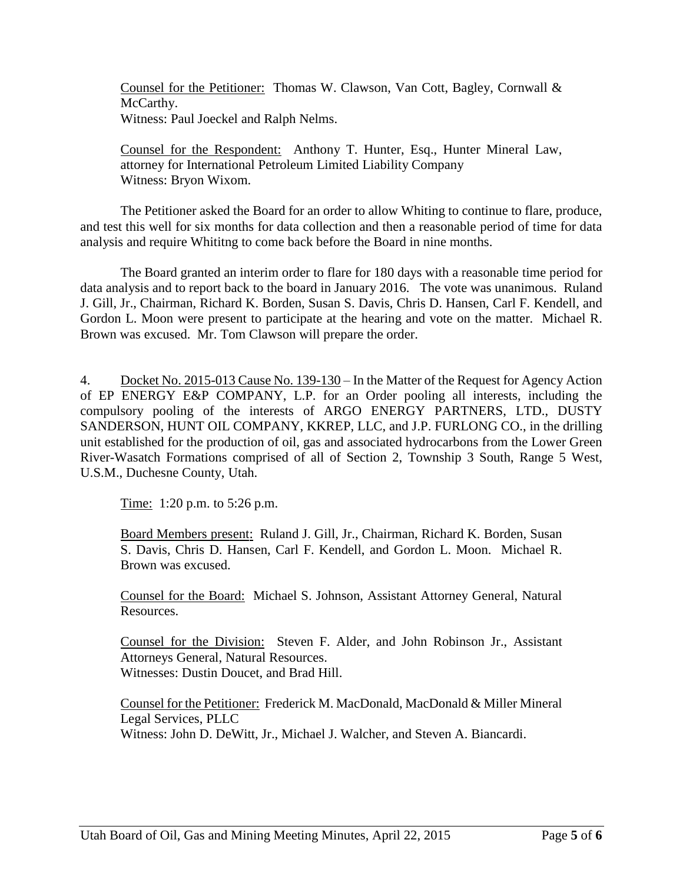Counsel for the Petitioner: Thomas W. Clawson, Van Cott, Bagley, Cornwall & McCarthy. Witness: Paul Joeckel and Ralph Nelms.

Counsel for the Respondent: Anthony T. Hunter, Esq., Hunter Mineral Law, attorney for International Petroleum Limited Liability Company Witness: Bryon Wixom.

The Petitioner asked the Board for an order to allow Whiting to continue to flare, produce, and test this well for six months for data collection and then a reasonable period of time for data analysis and require Whititng to come back before the Board in nine months.

The Board granted an interim order to flare for 180 days with a reasonable time period for data analysis and to report back to the board in January 2016. The vote was unanimous. Ruland J. Gill, Jr., Chairman, Richard K. Borden, Susan S. Davis, Chris D. Hansen, Carl F. Kendell, and Gordon L. Moon were present to participate at the hearing and vote on the matter. Michael R. Brown was excused. Mr. Tom Clawson will prepare the order.

4. Docket No. 2015-013 Cause No. 139-130 – In the Matter of the Request for Agency Action of EP ENERGY E&P COMPANY, L.P. for an Order pooling all interests, including the compulsory pooling of the interests of ARGO ENERGY PARTNERS, LTD., DUSTY SANDERSON, HUNT OIL COMPANY, KKREP, LLC, and J.P. FURLONG CO., in the drilling unit established for the production of oil, gas and associated hydrocarbons from the Lower Green River-Wasatch Formations comprised of all of Section 2, Township 3 South, Range 5 West, U.S.M., Duchesne County, Utah.

Time: 1:20 p.m. to 5:26 p.m.

Board Members present: Ruland J. Gill, Jr., Chairman, Richard K. Borden, Susan S. Davis, Chris D. Hansen, Carl F. Kendell, and Gordon L. Moon. Michael R. Brown was excused.

Counsel for the Board: Michael S. Johnson, Assistant Attorney General, Natural Resources.

Counsel for the Division: Steven F. Alder, and John Robinson Jr., Assistant Attorneys General, Natural Resources. Witnesses: Dustin Doucet, and Brad Hill.

Counsel for the Petitioner: Frederick M. MacDonald, MacDonald & Miller Mineral Legal Services, PLLC Witness: John D. DeWitt, Jr., Michael J. Walcher, and Steven A. Biancardi.